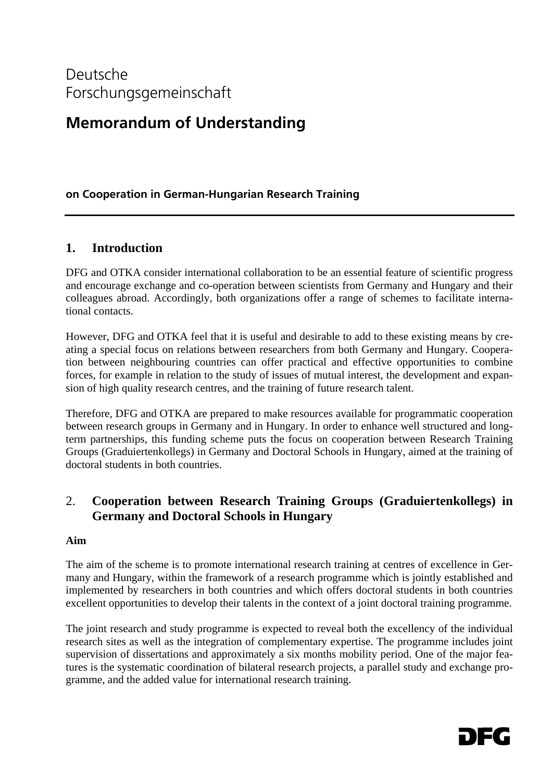# **Memorandum of Understanding**

# **on Cooperation in German-Hungarian Research Training**

# **1. Introduction**

DFG and OTKA consider international collaboration to be an essential feature of scientific progress and encourage exchange and co-operation between scientists from Germany and Hungary and their colleagues abroad. Accordingly, both organizations offer a range of schemes to facilitate international contacts.

However, DFG and OTKA feel that it is useful and desirable to add to these existing means by creating a special focus on relations between researchers from both Germany and Hungary. Cooperation between neighbouring countries can offer practical and effective opportunities to combine forces, for example in relation to the study of issues of mutual interest, the development and expansion of high quality research centres, and the training of future research talent.

Therefore, DFG and OTKA are prepared to make resources available for programmatic cooperation between research groups in Germany and in Hungary. In order to enhance well structured and longterm partnerships, this funding scheme puts the focus on cooperation between Research Training Groups (Graduiertenkollegs) in Germany and Doctoral Schools in Hungary, aimed at the training of doctoral students in both countries.

# 2. **Cooperation between Research Training Groups (Graduiertenkollegs) in Germany and Doctoral Schools in Hungary**

### **Aim**

The aim of the scheme is to promote international research training at centres of excellence in Germany and Hungary, within the framework of a research programme which is jointly established and implemented by researchers in both countries and which offers doctoral students in both countries excellent opportunities to develop their talents in the context of a joint doctoral training programme.

The joint research and study programme is expected to reveal both the excellency of the individual research sites as well as the integration of complementary expertise. The programme includes joint supervision of dissertations and approximately a six months mobility period. One of the major features is the systematic coordination of bilateral research projects, a parallel study and exchange programme, and the added value for international research training.

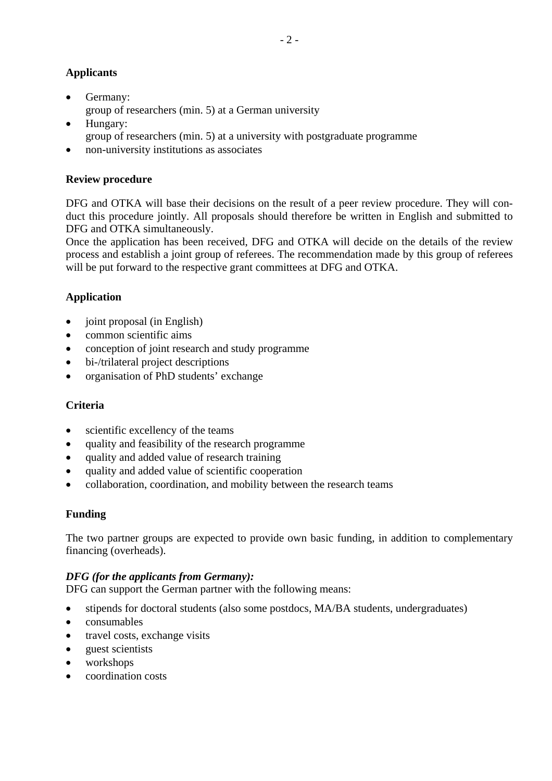## **Applicants**

- Germany: group of researchers (min. 5) at a German university
- Hungary: group of researchers (min. 5) at a university with postgraduate programme
- non-university institutions as associates

## **Review procedure**

DFG and OTKA will base their decisions on the result of a peer review procedure. They will conduct this procedure jointly. All proposals should therefore be written in English and submitted to DFG and OTKA simultaneously.

Once the application has been received, DFG and OTKA will decide on the details of the review process and establish a joint group of referees. The recommendation made by this group of referees will be put forward to the respective grant committees at DFG and OTKA.

# **Application**

- joint proposal (in English)
- common scientific aims
- conception of joint research and study programme
- bi-/trilateral project descriptions
- organisation of PhD students' exchange

## **Criteria**

- scientific excellency of the teams
- quality and feasibility of the research programme
- quality and added value of research training
- quality and added value of scientific cooperation
- collaboration, coordination, and mobility between the research teams

## **Funding**

The two partner groups are expected to provide own basic funding, in addition to complementary financing (overheads).

# *DFG (for the applicants from Germany):*

DFG can support the German partner with the following means:

- stipends for doctoral students (also some postdocs, MA/BA students, undergraduates)
- consumables
- travel costs, exchange visits
- guest scientists
- workshops
- coordination costs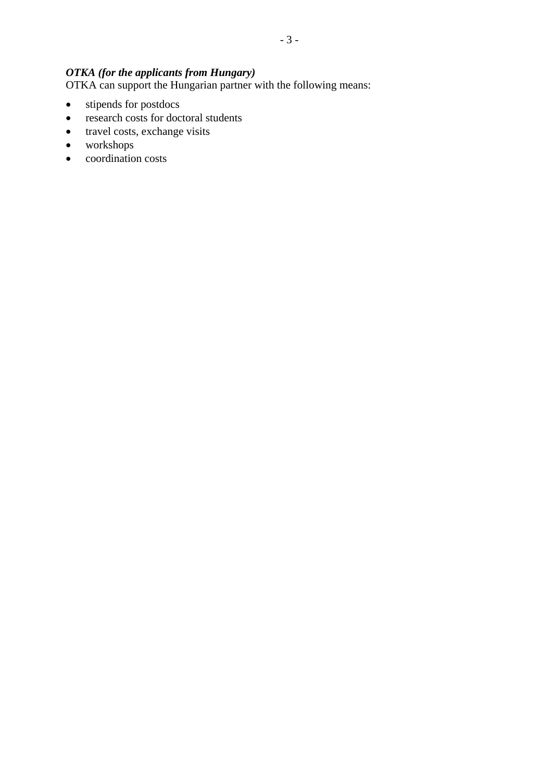# *OTKA (for the applicants from Hungary)*

OTKA can support the Hungarian partner with the following means:

- stipends for postdocs
- research costs for doctoral students
- travel costs, exchange visits
- workshops
- coordination costs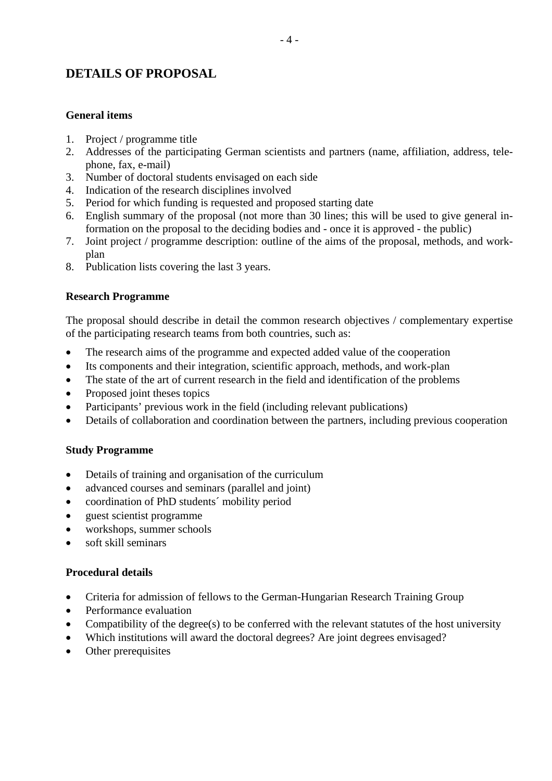# **DETAILS OF PROPOSAL**

### **General items**

- 1. Project / programme title
- 2. Addresses of the participating German scientists and partners (name, affiliation, address, telephone, fax, e-mail)
- 3. Number of doctoral students envisaged on each side
- 4. Indication of the research disciplines involved
- 5. Period for which funding is requested and proposed starting date
- 6. English summary of the proposal (not more than 30 lines; this will be used to give general information on the proposal to the deciding bodies and - once it is approved - the public)
- 7. Joint project / programme description: outline of the aims of the proposal, methods, and workplan
- 8. Publication lists covering the last 3 years.

### **Research Programme**

The proposal should describe in detail the common research objectives / complementary expertise of the participating research teams from both countries, such as:

- The research aims of the programme and expected added value of the cooperation
- Its components and their integration, scientific approach, methods, and work-plan
- The state of the art of current research in the field and identification of the problems
- Proposed joint theses topics
- Participants' previous work in the field (including relevant publications)
- Details of collaboration and coordination between the partners, including previous cooperation

### **Study Programme**

- Details of training and organisation of the curriculum
- advanced courses and seminars (parallel and joint)
- coordination of PhD students' mobility period
- guest scientist programme
- workshops, summer schools
- soft skill seminars

#### **Procedural details**

- Criteria for admission of fellows to the German-Hungarian Research Training Group
- Performance evaluation
- Compatibility of the degree(s) to be conferred with the relevant statutes of the host university
- Which institutions will award the doctoral degrees? Are joint degrees envisaged?
- Other prerequisites